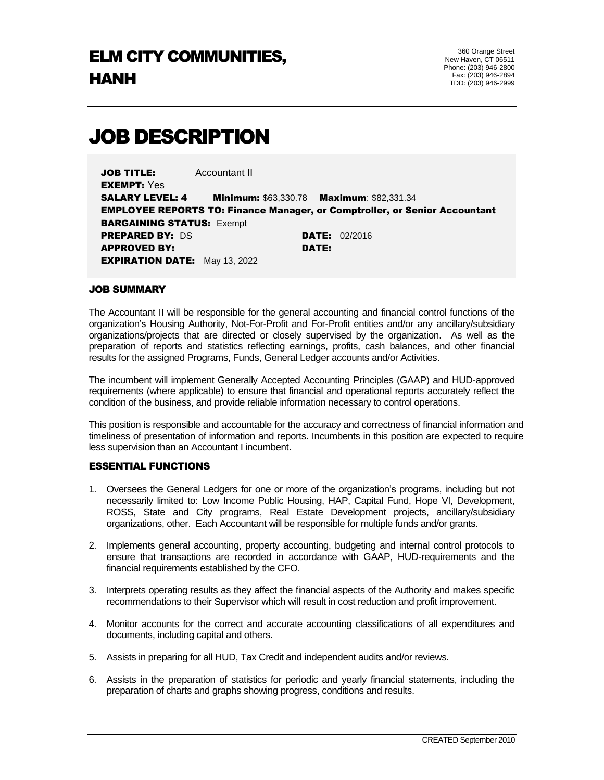# JOB DESCRIPTION

JOB TITLE: Accountant II EXEMPT: Yes SALARY LEVEL: 4 Minimum: \$63,330.78 Maximum: \$82,331.34 EMPLOYEE REPORTS TO: Finance Manager, or Comptroller, or Senior Accountant **BARGAINING STATUS: Exempt PREPARED BY: DS DATE: 02/2016** APPROVED BY: DATE: **EXPIRATION DATE:** May 13, 2022

#### JOB SUMMARY

The Accountant II will be responsible for the general accounting and financial control functions of the organization's Housing Authority, Not-For-Profit and For-Profit entities and/or any ancillary/subsidiary organizations/projects that are directed or closely supervised by the organization. As well as the preparation of reports and statistics reflecting earnings, profits, cash balances, and other financial results for the assigned Programs, Funds, General Ledger accounts and/or Activities.

The incumbent will implement Generally Accepted Accounting Principles (GAAP) and HUD-approved requirements (where applicable) to ensure that financial and operational reports accurately reflect the condition of the business, and provide reliable information necessary to control operations.

This position is responsible and accountable for the accuracy and correctness of financial information and timeliness of presentation of information and reports. Incumbents in this position are expected to require less supervision than an Accountant I incumbent.

#### ESSENTIAL FUNCTIONS

- 1. Oversees the General Ledgers for one or more of the organization's programs, including but not necessarily limited to: Low Income Public Housing, HAP, Capital Fund, Hope VI, Development, ROSS, State and City programs, Real Estate Development projects, ancillary/subsidiary organizations, other. Each Accountant will be responsible for multiple funds and/or grants.
- 2. Implements general accounting, property accounting, budgeting and internal control protocols to ensure that transactions are recorded in accordance with GAAP, HUD-requirements and the financial requirements established by the CFO.
- 3. Interprets operating results as they affect the financial aspects of the Authority and makes specific recommendations to their Supervisor which will result in cost reduction and profit improvement.
- 4. Monitor accounts for the correct and accurate accounting classifications of all expenditures and documents, including capital and others.
- 5. Assists in preparing for all HUD, Tax Credit and independent audits and/or reviews.
- 6. Assists in the preparation of statistics for periodic and yearly financial statements, including the preparation of charts and graphs showing progress, conditions and results.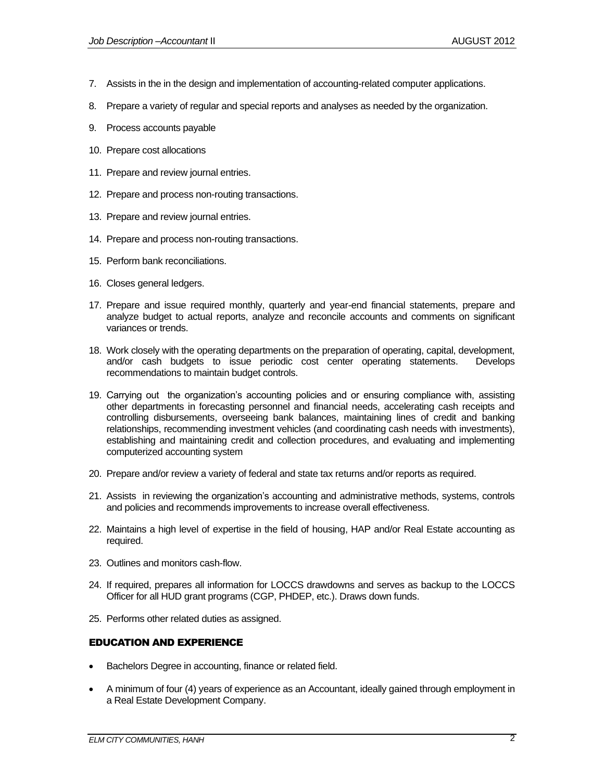- 7. Assists in the in the design and implementation of accounting-related computer applications.
- 8. Prepare a variety of regular and special reports and analyses as needed by the organization.
- 9. Process accounts payable
- 10. Prepare cost allocations
- 11. Prepare and review journal entries.
- 12. Prepare and process non-routing transactions.
- 13. Prepare and review journal entries.
- 14. Prepare and process non-routing transactions.
- 15. Perform bank reconciliations.
- 16. Closes general ledgers.
- 17. Prepare and issue required monthly, quarterly and year-end financial statements, prepare and analyze budget to actual reports, analyze and reconcile accounts and comments on significant variances or trends.
- 18. Work closely with the operating departments on the preparation of operating, capital, development, and/or cash budgets to issue periodic cost center operating statements. Develops recommendations to maintain budget controls.
- 19. Carrying out the organization's accounting policies and or ensuring compliance with, assisting other departments in forecasting personnel and financial needs, accelerating cash receipts and controlling disbursements, overseeing bank balances, maintaining lines of credit and banking relationships, recommending investment vehicles (and coordinating cash needs with investments), establishing and maintaining credit and collection procedures, and evaluating and implementing computerized accounting system
- 20. Prepare and/or review a variety of federal and state tax returns and/or reports as required.
- 21. Assists in reviewing the organization's accounting and administrative methods, systems, controls and policies and recommends improvements to increase overall effectiveness.
- 22. Maintains a high level of expertise in the field of housing, HAP and/or Real Estate accounting as required.
- 23. Outlines and monitors cash-flow.
- 24. If required, prepares all information for LOCCS drawdowns and serves as backup to the LOCCS Officer for all HUD grant programs (CGP, PHDEP, etc.). Draws down funds.
- 25. Performs other related duties as assigned.

# EDUCATION AND EXPERIENCE

- Bachelors Degree in accounting, finance or related field.
- A minimum of four (4) years of experience as an Accountant, ideally gained through employment in a Real Estate Development Company.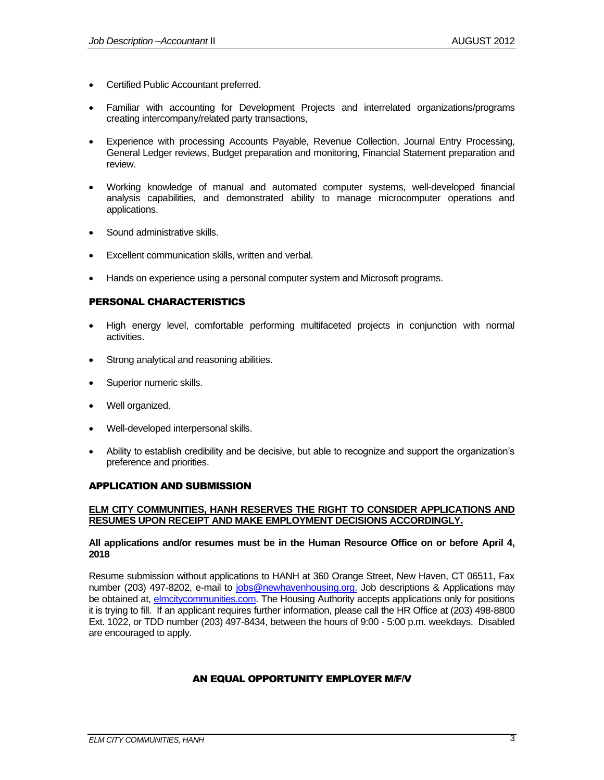- Certified Public Accountant preferred.
- Familiar with accounting for Development Projects and interrelated organizations/programs creating intercompany/related party transactions,
- Experience with processing Accounts Payable, Revenue Collection, Journal Entry Processing, General Ledger reviews, Budget preparation and monitoring, Financial Statement preparation and review.
- Working knowledge of manual and automated computer systems, well-developed financial analysis capabilities, and demonstrated ability to manage microcomputer operations and applications.
- Sound administrative skills.
- Excellent communication skills, written and verbal.
- Hands on experience using a personal computer system and Microsoft programs.

# PERSONAL CHARACTERISTICS

- High energy level, comfortable performing multifaceted projects in conjunction with normal activities.
- Strong analytical and reasoning abilities.
- Superior numeric skills.
- Well organized.
- Well-developed interpersonal skills.
- Ability to establish credibility and be decisive, but able to recognize and support the organization's preference and priorities.

#### APPLICATION AND SUBMISSION

## **ELM CITY COMMUNITIES, HANH RESERVES THE RIGHT TO CONSIDER APPLICATIONS AND RESUMES UPON RECEIPT AND MAKE EMPLOYMENT DECISIONS ACCORDINGLY.**

#### **All applications and/or resumes must be in the Human Resource Office on or before April 4, 2018**

Resume submission without applications to HANH at 360 Orange Street, New Haven, CT 06511, Fax number (203) 497-8202, e-mail to [jobs@newhavenhousing.org.](mailto:jobs@newhavenhousing.org) Job descriptions & Applications may be obtained at, [elmcitycommunities.com.](file:///C:/Users/irodriguez/AppData/Local/Microsoft/Windows/Temporary%20Internet%20Files/Content.Outlook/VWYVJ6IY/elmcitycommunities.com) The Housing Authority accepts applications only for positions it is trying to fill. If an applicant requires further information, please call the HR Office at (203) 498-8800 Ext. 1022, or TDD number (203) 497-8434, between the hours of 9:00 - 5:00 p.m. weekdays. Disabled are encouraged to apply.

# AN EQUAL OPPORTUNITY EMPLOYER M/F/V